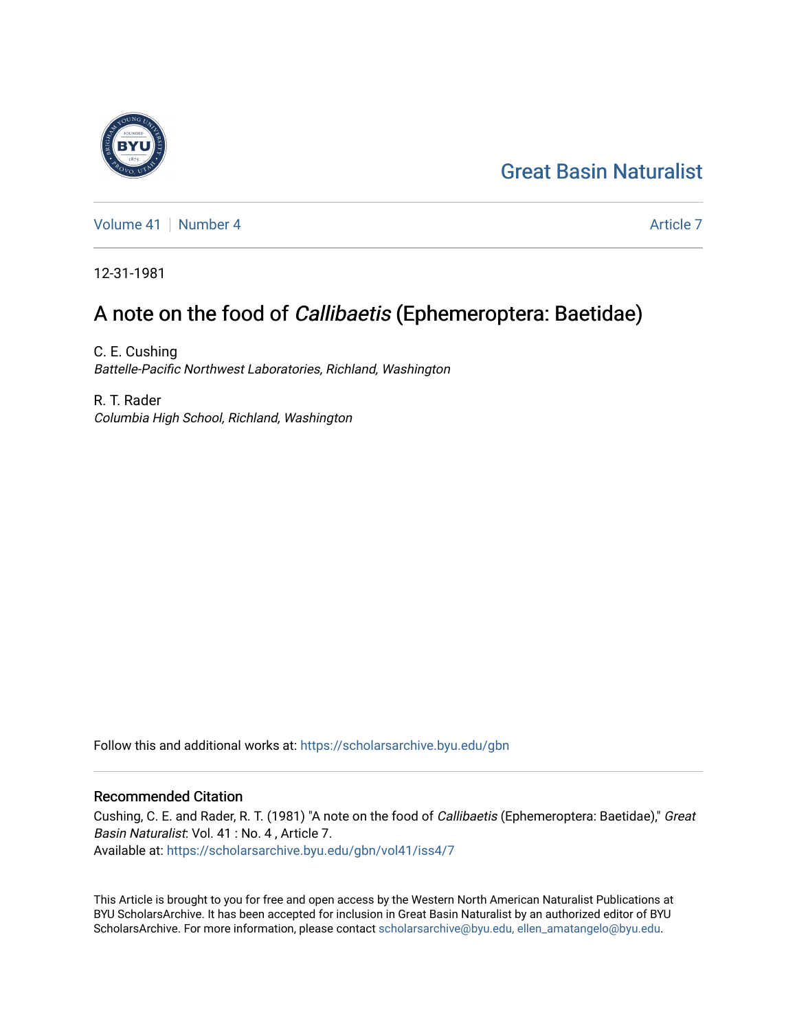# [Great Basin Naturalist](https://scholarsarchive.byu.edu/gbn)

[Volume 41](https://scholarsarchive.byu.edu/gbn/vol41) | [Number 4](https://scholarsarchive.byu.edu/gbn/vol41/iss4) [Article 7](https://scholarsarchive.byu.edu/gbn/vol41/iss4/7) Article 7 Article 7 Article 7 Article 7 Article 7 Article 7 Article 7

12-31-1981

## A note on the food of Callibaetis (Ephemeroptera: Baetidae)

C. E. Cushing Battelle-Pacific Northwest Laboratories, Richland, Washington

R. T. Rader Columbia High School, Richland, Washington

Follow this and additional works at: [https://scholarsarchive.byu.edu/gbn](https://scholarsarchive.byu.edu/gbn?utm_source=scholarsarchive.byu.edu%2Fgbn%2Fvol41%2Fiss4%2F7&utm_medium=PDF&utm_campaign=PDFCoverPages) 

### Recommended Citation

Cushing, C. E. and Rader, R. T. (1981) "A note on the food of Callibaetis (Ephemeroptera: Baetidae)," Great Basin Naturalist: Vol. 41 : No. 4 , Article 7. Available at: [https://scholarsarchive.byu.edu/gbn/vol41/iss4/7](https://scholarsarchive.byu.edu/gbn/vol41/iss4/7?utm_source=scholarsarchive.byu.edu%2Fgbn%2Fvol41%2Fiss4%2F7&utm_medium=PDF&utm_campaign=PDFCoverPages)

This Article is brought to you for free and open access by the Western North American Naturalist Publications at BYU ScholarsArchive. It has been accepted for inclusion in Great Basin Naturalist by an authorized editor of BYU ScholarsArchive. For more information, please contact [scholarsarchive@byu.edu, ellen\\_amatangelo@byu.edu.](mailto:scholarsarchive@byu.edu,%20ellen_amatangelo@byu.edu)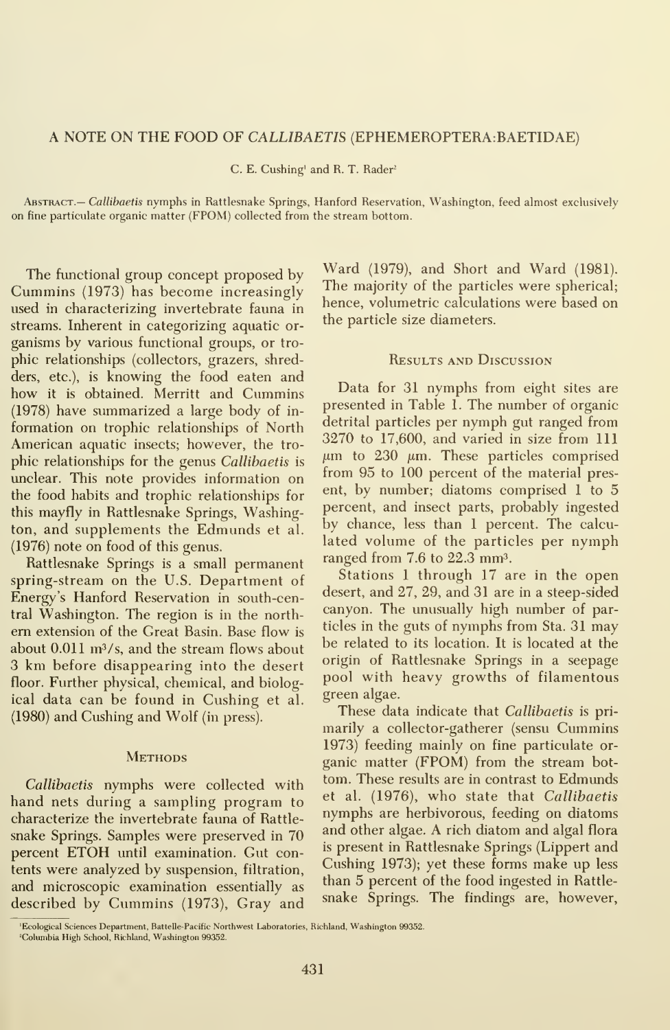#### A NOTE ON THE FOOD OF CALLIBAETIS (EPHEMEROPTERA:BAETIDAE)

C. E. Gushing' and R. T. Rader'

ABSTRACT.— Callibaetis nymphs in Rattlesnake Springs, Hanford Reservation, Washington, feed almost exclusively on fine particulate organic matter (FPOM) collected from the stream bottom.

The functional group concept proposed by Cummins (1973) has become increasingly used in characterizing invertebrate fauna in streams. Inherent in categorizing aquatic or ganisms by various functional groups, or tro phic relationships (collectors, grazers, shredders, etc.), is knowing the food eaten and how it is obtained. Merritt and Cummins  $(1978)$  have summarized a large body of information on trophic relationships of North American aquatic insects; however, the tro phic relationships for the genus Callibaetis is unclear. This note provides information on the food habits and trophic relationships for this mayfly in Rattlesnake Springs, Washington, and supplements the Edmunds et al. (1976) note on food of this genus.

Rattlesnake Springs is a small permanent spring-stream on the U.S. Department of Energy's Hanford Reservation in south-central Washington. The region is in the north em extension of the Great Basin. Base flow is about  $0.011 \text{ m}^3$ /s, and the stream flows about 3 km before disappearing into the desert floor. Further physical, chemical, and biological data can be found in Cushing et al. (1980) and Cushing and Wolf (in press).

#### **Methods**

Callibaetis nymphs were collected with hand nets during a sampling program to characterize the invertebrate fauna of Rattle snake Springs. Samples were preserved in 70 percent ETOH until examination. Gut contents were analyzed by suspension, filtration, and microscopic examination essentially as described by Cummins (1973), Gray and

Ward (1979), and Short and Ward (1981). The majority of the particles were spherical; hence, volumetric calculations were based on the particle size diameters.

#### Results and Discussion

Data for 31 nymphs from eight sites are presented in Table 1. The number of organic detrital particles per nymph gut ranged from 3270 to 17,600, and varied in size from 111  $\mu$ m to 230  $\mu$ m. These particles comprised from 95 to 100 percent of the material present, by number; diatoms comprised <sup>1</sup> to 5 percent, and insect parts, probably ingested by chance, less than <sup>1</sup> percent. The calcu lated volume of the particles per nymph ranged from  $7.6$  to  $22.3$  mm<sup>3</sup>.

Stations <sup>1</sup> through 17 are in the open desert, and 27, 29, and 31 are in a steep-sided canyon. The unusually high number of particles in the guts of nymphs from Sta. 31 may be related to its location. It is located at the origin of Rattlesnake Springs in a seepage pool with heavy growths of filamentous green algae.

These data indicate that Callibaetis is primarily a collector-gatherer (sensu Cummins 1973) feeding mainly on fine particulate or ganic matter (FPOM) from the stream bot tom. These results are in contrast to Edmunds et al. (1976), who state that Callibaetis nymphs are herbivorous, feeding on diatoms and other algae. A rich diatom and algal flora is present in Rattlesnake Springs (Lippert and Cushing 1973); yet these forms make up less than 5 percent of the food ingested in Rattle snake Springs. The findings are, however.

'Ecological Sciences Department, Battelle-Pacific Northwest Laboratories, Richland, Washington 99352.

<sup>&#</sup>x27;Columbia High School, Richland, Washington 99352.